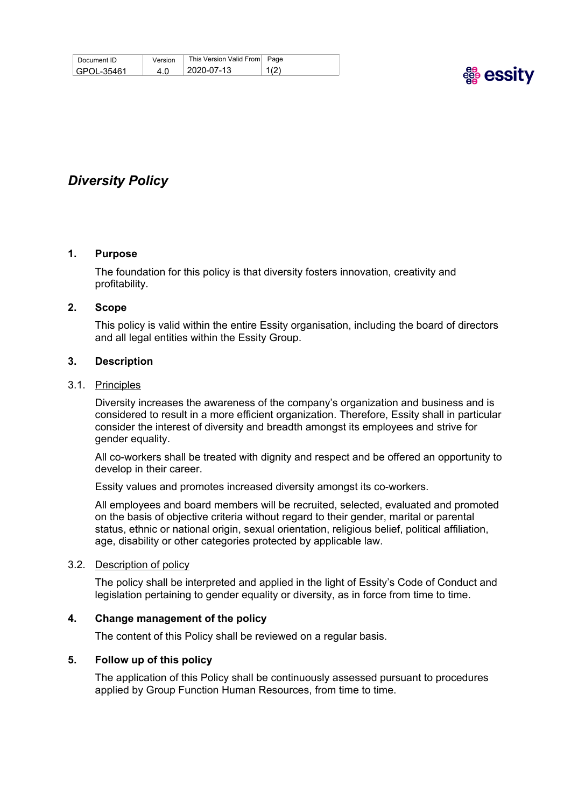| Document ID | Version | This Version Valid From Page |      |
|-------------|---------|------------------------------|------|
| GPOL-35461  | 4.0     | $\pm 2020$ -07-13            | 1(2) |



# *Diversity Policy*

#### **1. Purpose**

The foundation for this policy is that diversity fosters innovation, creativity and profitability.

#### **2. Scope**

This policy is valid within the entire Essity organisation, including the board of directors and all legal entities within the Essity Group.

#### **3. Description**

#### 3.1. Principles

Diversity increases the awareness of the company's organization and business and is considered to result in a more efficient organization. Therefore, Essity shall in particular consider the interest of diversity and breadth amongst its employees and strive for gender equality.

All co-workers shall be treated with dignity and respect and be offered an opportunity to develop in their career.

Essity values and promotes increased diversity amongst its co-workers.

All employees and board members will be recruited, selected, evaluated and promoted on the basis of objective criteria without regard to their gender, marital or parental status, ethnic or national origin, sexual orientation, religious belief, political affiliation, age, disability or other categories protected by applicable law.

#### 3.2. Description of policy

The policy shall be interpreted and applied in the light of Essity's Code of Conduct and legislation pertaining to gender equality or diversity, as in force from time to time.

### **4. Change management of the policy**

The content of this Policy shall be reviewed on a regular basis.

#### **5. Follow up of this policy**

The application of this Policy shall be continuously assessed pursuant to procedures applied by Group Function Human Resources, from time to time.